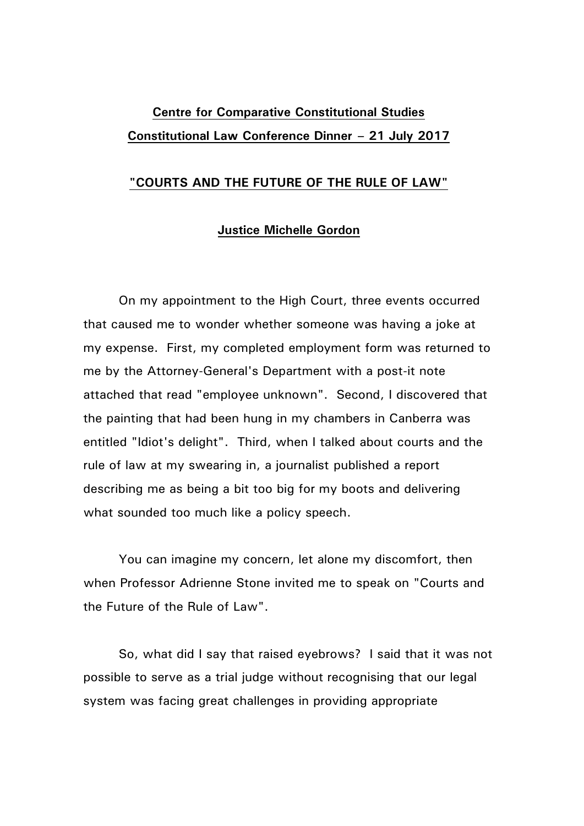## **Centre for Comparative Constitutional Studies Constitutional Law Conference Dinner – 21 July 2017**

## **"COURTS AND THE FUTURE OF THE RULE OF LAW"**

## **Justice Michelle Gordon**

On my appointment to the High Court, three events occurred that caused me to wonder whether someone was having a joke at my expense. First, my completed employment form was returned to me by the Attorney-General's Department with a post-it note attached that read "employee unknown". Second, I discovered that the painting that had been hung in my chambers in Canberra was entitled "Idiot's delight". Third, when I talked about courts and the rule of law at my swearing in, a journalist published a report describing me as being a bit too big for my boots and delivering what sounded too much like a policy speech.

You can imagine my concern, let alone my discomfort, then when Professor Adrienne Stone invited me to speak on "Courts and the Future of the Rule of Law".

So, what did I say that raised eyebrows? I said that it was not possible to serve as a trial judge without recognising that our legal system was facing great challenges in providing appropriate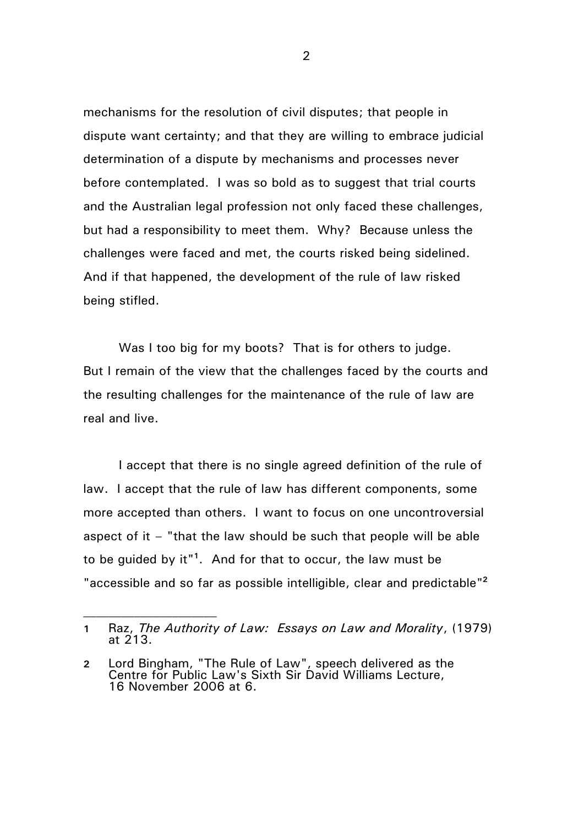mechanisms for the resolution of civil disputes; that people in dispute want certainty; and that they are willing to embrace judicial determination of a dispute by mechanisms and processes never before contemplated. I was so bold as to suggest that trial courts and the Australian legal profession not only faced these challenges, but had a responsibility to meet them. Why? Because unless the challenges were faced and met, the courts risked being sidelined. And if that happened, the development of the rule of law risked being stifled.

Was I too big for my boots? That is for others to judge. But I remain of the view that the challenges faced by the courts and the resulting challenges for the maintenance of the rule of law are real and live.

I accept that there is no single agreed definition of the rule of law. I accept that the rule of law has different components, some more accepted than others. I want to focus on one uncontroversial aspect of it – "that the law should be such that people will be able to be guided by it"**<sup>1</sup>** . And for that to occur, the law must be "accessible and so far as possible intelligible, clear and predictable" **2**

**<sup>1</sup>** Raz, *The Authority of Law: Essays on Law and Morality*, (1979) at 213.

**<sup>2</sup>** Lord Bingham, "The Rule of Law", speech delivered as the Centre for Public Law's Sixth Sir David Williams Lecture, 16 November 2006 at 6.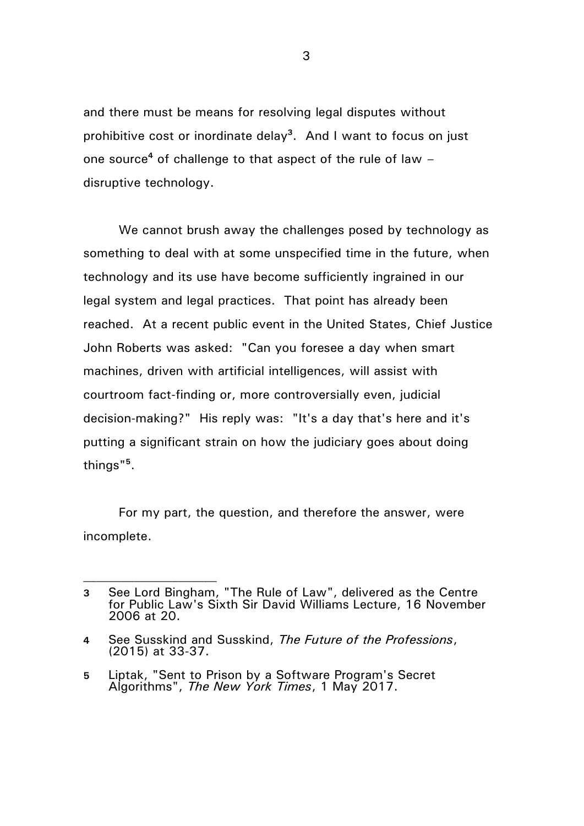and there must be means for resolving legal disputes without prohibitive cost or inordinate delay**<sup>3</sup>** . And I want to focus on just one source**<sup>4</sup>** of challenge to that aspect of the rule of law – disruptive technology.

We cannot brush away the challenges posed by technology as something to deal with at some unspecified time in the future, when technology and its use have become sufficiently ingrained in our legal system and legal practices. That point has already been reached. At a recent public event in the United States, Chief Justice John Roberts was asked: "Can you foresee a day when smart machines, driven with artificial intelligences, will assist with courtroom fact-finding or, more controversially even, judicial decision-making?" His reply was: "It's a day that's here and it's putting a significant strain on how the judiciary goes about doing things"**<sup>5</sup>** .

For my part, the question, and therefore the answer, were incomplete.

**<sup>3</sup>** See Lord Bingham, "The Rule of Law", delivered as the Centre for Public Law's Sixth Sir David Williams Lecture, 16 November 2006 at 20.

**<sup>4</sup>** See Susskind and Susskind, *The Future of the Professions*, (2015) at 33-37.

**<sup>5</sup>** Liptak, "Sent to Prison by a Software Program's Secret Algorithms", *The New York Times*, 1 May 2017.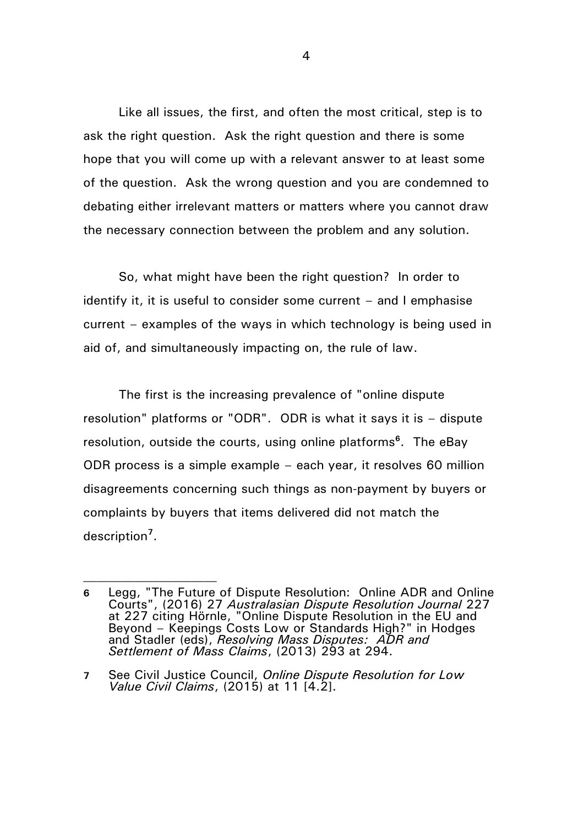Like all issues, the first, and often the most critical, step is to ask the right question. Ask the right question and there is some hope that you will come up with a relevant answer to at least some of the question. Ask the wrong question and you are condemned to debating either irrelevant matters or matters where you cannot draw the necessary connection between the problem and any solution.

So, what might have been the right question? In order to identify it, it is useful to consider some current – and I emphasise current – examples of the ways in which technology is being used in aid of, and simultaneously impacting on, the rule of law.

The first is the increasing prevalence of "online dispute resolution" platforms or "ODR". ODR is what it says it is – dispute resolution, outside the courts, using online platforms**<sup>6</sup>** . The eBay ODR process is a simple example – each year, it resolves 60 million disagreements concerning such things as non-payment by buyers or complaints by buyers that items delivered did not match the description**<sup>7</sup>** .

**<sup>6</sup>** Legg, "The Future of Dispute Resolution: Online ADR and Online Courts", (2016) 27 *Australasian Dispute Resolution Journal* 227 at 227 citing Hörnle, "Online Dispute Resolution in the EU and Beyond – Keepings Costs Low or Standards High?" in Hodges and Stadler (eds), *Resolving Mass Disputes: ADR and Settlement of Mass Claims*, (2013) 293 at 294.

**<sup>7</sup>** See Civil Justice Council, *Online Dispute Resolution for Low Value Civil Claims*, (2015) at 11 [4.2].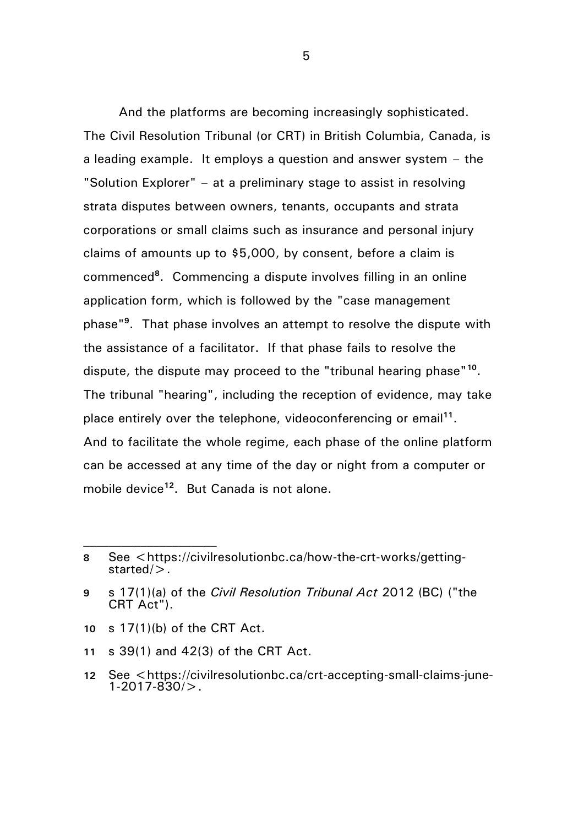And the platforms are becoming increasingly sophisticated. The Civil Resolution Tribunal (or CRT) in British Columbia, Canada, is a leading example. It employs a question and answer system – the "Solution Explorer" – at a preliminary stage to assist in resolving strata disputes between owners, tenants, occupants and strata corporations or small claims such as insurance and personal injury claims of amounts up to \$5,000, by consent, before a claim is commenced**<sup>8</sup>** . Commencing a dispute involves filling in an online application form, which is followed by the "case management phase"**<sup>9</sup>** . That phase involves an attempt to resolve the dispute with the assistance of a facilitator. If that phase fails to resolve the dispute, the dispute may proceed to the "tribunal hearing phase"**<sup>10</sup>** . The tribunal "hearing", including the reception of evidence, may take place entirely over the telephone, videoconferencing or email**<sup>11</sup>** . And to facilitate the whole regime, each phase of the online platform can be accessed at any time of the day or night from a computer or mobile device**<sup>12</sup>** . But Canada is not alone.

- **10** s 17(1)(b) of the CRT Act.
- **11** s 39(1) and 42(3) of the CRT Act.

**<sup>8</sup>** See <https://civilresolutionbc.ca/how-the-crt-works/gettingstarted/>.

**<sup>9</sup>** s 17(1)(a) of the *Civil Resolution Tribunal Act* 2012 (BC) ("the CRT Act").

<sup>12</sup> See <https://civilresolutionbc.ca/crt-accepting-small-claims-june-1-2017-830/>.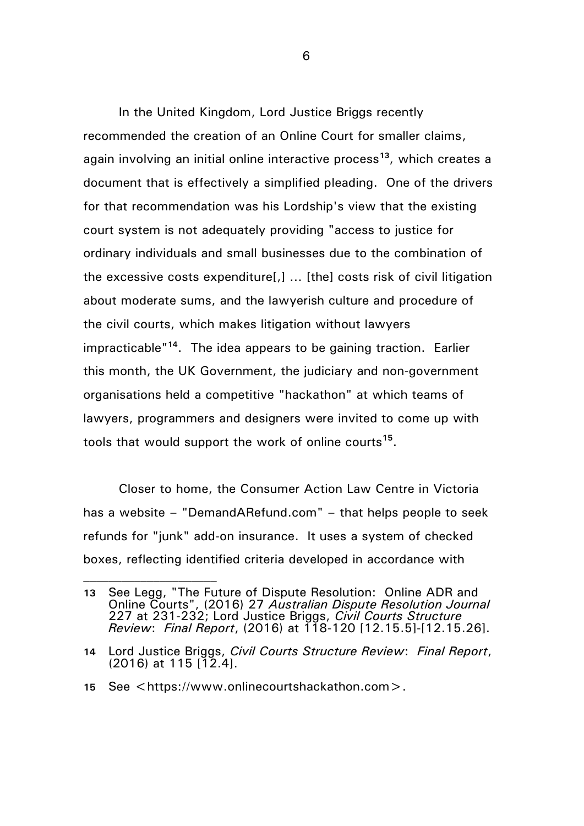In the United Kingdom, Lord Justice Briggs recently recommended the creation of an Online Court for smaller claims, again involving an initial online interactive process**<sup>13</sup>**, which creates a document that is effectively a simplified pleading. One of the drivers for that recommendation was his Lordship's view that the existing court system is not adequately providing "access to justice for ordinary individuals and small businesses due to the combination of the excessive costs expenditure[,] … [the] costs risk of civil litigation about moderate sums, and the lawyerish culture and procedure of the civil courts, which makes litigation without lawyers impracticable"**<sup>14</sup>** . The idea appears to be gaining traction. Earlier this month, the UK Government, the judiciary and non-government organisations held a competitive "hackathon" at which teams of lawyers, programmers and designers were invited to come up with tools that would support the work of online courts**<sup>15</sup>** .

Closer to home, the Consumer Action Law Centre in Victoria has a website – "DemandARefund.com" – that helps people to seek refunds for "junk" add-on insurance. It uses a system of checked boxes, reflecting identified criteria developed in accordance with

**<sup>13</sup>** See Legg, "The Future of Dispute Resolution: Online ADR and Online Courts", (2016) 27 *Australian Dispute Resolution Journal* 227 at 231-232; Lord Justice Briggs, *Civil Courts Structure Review*: *Final Report*, (2016) at 118-120 [12.15.5]-[12.15.26].

**<sup>14</sup>** Lord Justice Briggs, *Civil Courts Structure Review*: *Final Report*, (2016) at 115 [12.4].

**<sup>15</sup>** See <https://www.onlinecourtshackathon.com>.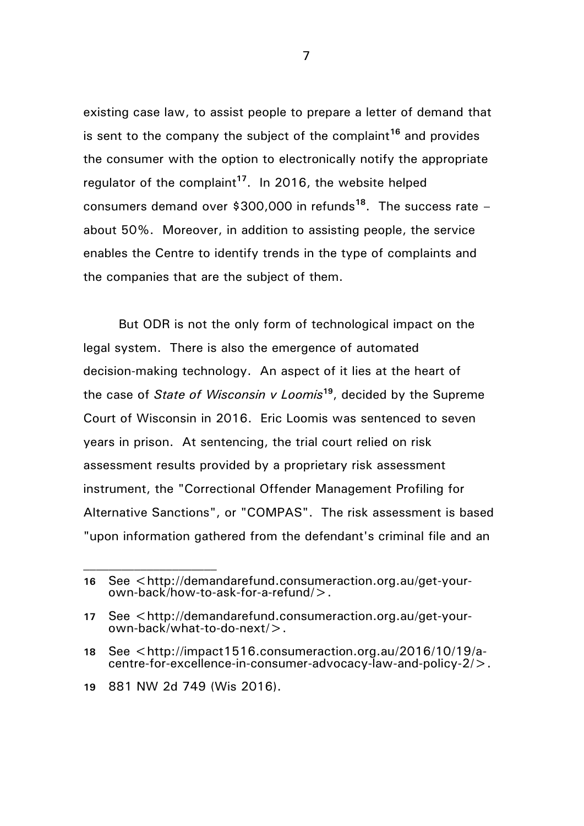existing case law, to assist people to prepare a letter of demand that is sent to the company the subject of the complaint**<sup>16</sup>** and provides the consumer with the option to electronically notify the appropriate regulator of the complaint**<sup>17</sup>** . In 2016, the website helped consumers demand over \$300,000 in refunds**<sup>18</sup>** . The success rate – about 50%. Moreover, in addition to assisting people, the service enables the Centre to identify trends in the type of complaints and the companies that are the subject of them.

But ODR is not the only form of technological impact on the legal system. There is also the emergence of automated decision-making technology. An aspect of it lies at the heart of the case of *State of Wisconsin v Loomis***<sup>19</sup>**, decided by the Supreme Court of Wisconsin in 2016. Eric Loomis was sentenced to seven years in prison. At sentencing, the trial court relied on risk assessment results provided by a proprietary risk assessment instrument, the "Correctional Offender Management Profiling for Alternative Sanctions", or "COMPAS". The risk assessment is based "upon information gathered from the defendant's criminal file and an

**<sup>16</sup>** See <http://demandarefund.consumeraction.org.au/get-yourown-back/how-to-ask-for-a-refund/>.

**<sup>17</sup>** See <http://demandarefund.consumeraction.org.au/get-yourown-back/what-to-do-next/>.

**<sup>18</sup>** See <http://impact1516.consumeraction.org.au/2016/10/19/acentre-for-excellence-in-consumer-advocacy-law-and-policy-2/>.

**<sup>19</sup>** 881 NW 2d 749 (Wis 2016).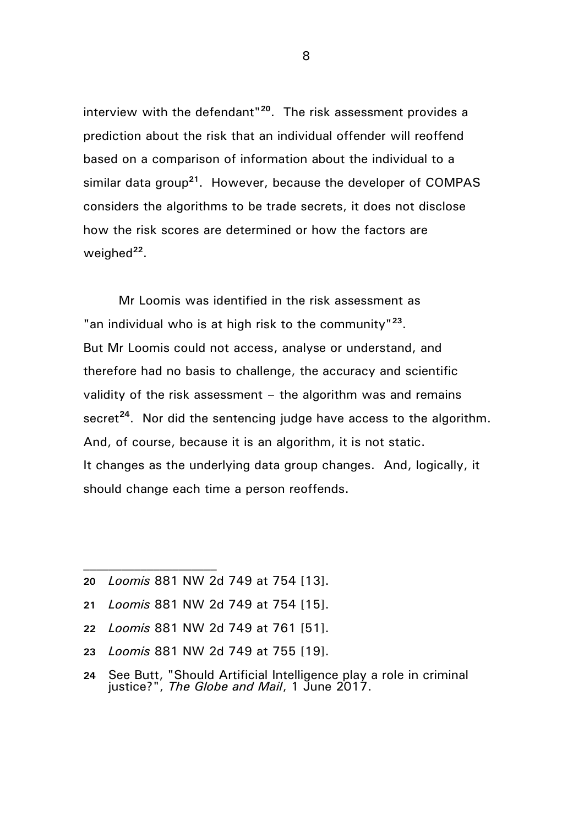interview with the defendant"**<sup>20</sup>**. The risk assessment provides a prediction about the risk that an individual offender will reoffend based on a comparison of information about the individual to a similar data group**<sup>21</sup>**. However, because the developer of COMPAS considers the algorithms to be trade secrets, it does not disclose how the risk scores are determined or how the factors are weighed<sup>22</sup>.

Mr Loomis was identified in the risk assessment as "an individual who is at high risk to the community"**<sup>23</sup>** . But Mr Loomis could not access, analyse or understand, and therefore had no basis to challenge, the accuracy and scientific validity of the risk assessment – the algorithm was and remains secret<sup>24</sup>. Nor did the sentencing judge have access to the algorithm. And, of course, because it is an algorithm, it is not static. It changes as the underlying data group changes. And, logically, it should change each time a person reoffends.

- **20** *Loomis* 881 NW 2d 749 at 754 [13].
- **21** *Loomis* 881 NW 2d 749 at 754 [15].
- **22** *Loomis* 881 NW 2d 749 at 761 [51].
- **23** *Loomis* 881 NW 2d 749 at 755 [19].
- **24** See Butt, "Should Artificial Intelligence play a role in criminal justice?", *The Globe and Mail*, 1 June 2017.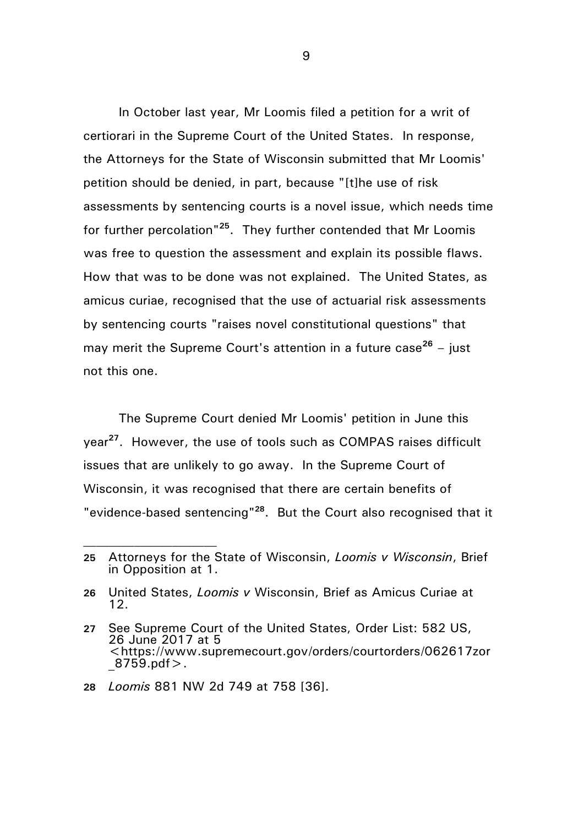In October last year, Mr Loomis filed a petition for a writ of certiorari in the Supreme Court of the United States. In response, the Attorneys for the State of Wisconsin submitted that Mr Loomis' petition should be denied, in part, because "[t]he use of risk assessments by sentencing courts is a novel issue, which needs time for further percolation"**<sup>25</sup>**. They further contended that Mr Loomis was free to question the assessment and explain its possible flaws. How that was to be done was not explained. The United States, as amicus curiae, recognised that the use of actuarial risk assessments by sentencing courts "raises novel constitutional questions" that may merit the Supreme Court's attention in a future case**<sup>26</sup>** – just not this one.

The Supreme Court denied Mr Loomis' petition in June this year**<sup>27</sup>** . However, the use of tools such as COMPAS raises difficult issues that are unlikely to go away. In the Supreme Court of Wisconsin, it was recognised that there are certain benefits of "evidence-based sentencing"**<sup>28</sup>**. But the Court also recognised that it

**<sup>25</sup>** Attorneys for the State of Wisconsin, *Loomis v Wisconsin*, Brief in Opposition at 1.

**<sup>26</sup>** United States, *Loomis v* Wisconsin, Brief as Amicus Curiae at 12.

**<sup>27</sup>** See Supreme Court of the United States, Order List: 582 US, 26 June 2017 at 5 <https://www.supremecourt.gov/orders/courtorders/062617zor  $8759.$ pdf $>$ .

**<sup>28</sup>** *Loomis* 881 NW 2d 749 at 758 [36].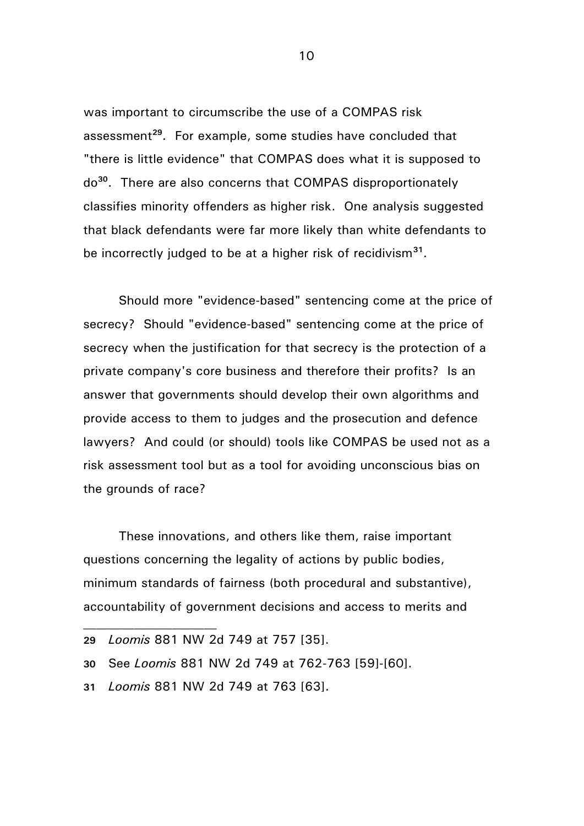was important to circumscribe the use of a COMPAS risk assessment**<sup>29</sup>**. For example, some studies have concluded that "there is little evidence" that COMPAS does what it is supposed to do**<sup>30</sup>**. There are also concerns that COMPAS disproportionately classifies minority offenders as higher risk. One analysis suggested that black defendants were far more likely than white defendants to be incorrectly judged to be at a higher risk of recidivism**<sup>31</sup>** .

Should more "evidence-based" sentencing come at the price of secrecy? Should "evidence-based" sentencing come at the price of secrecy when the justification for that secrecy is the protection of a private company's core business and therefore their profits? Is an answer that governments should develop their own algorithms and provide access to them to judges and the prosecution and defence lawyers? And could (or should) tools like COMPAS be used not as a risk assessment tool but as a tool for avoiding unconscious bias on the grounds of race?

These innovations, and others like them, raise important questions concerning the legality of actions by public bodies, minimum standards of fairness (both procedural and substantive), accountability of government decisions and access to merits and

**31** *Loomis* 881 NW 2d 749 at 763 [63].

**<sup>29</sup>** *Loomis* 881 NW 2d 749 at 757 [35].

**<sup>30</sup>** See *Loomis* 881 NW 2d 749 at 762-763 [59]-[60].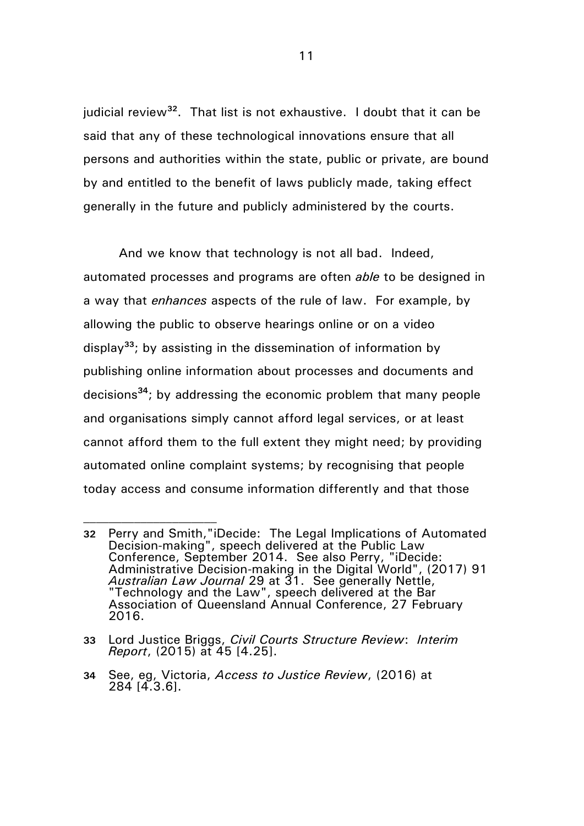judicial review**<sup>32</sup>** . That list is not exhaustive. I doubt that it can be said that any of these technological innovations ensure that all persons and authorities within the state, public or private, are bound by and entitled to the benefit of laws publicly made, taking effect generally in the future and publicly administered by the courts.

And we know that technology is not all bad. Indeed, automated processes and programs are often *able* to be designed in a way that *enhances* aspects of the rule of law. For example, by allowing the public to observe hearings online or on a video display**<sup>33</sup>**; by assisting in the dissemination of information by publishing online information about processes and documents and decisions**<sup>34</sup>**; by addressing the economic problem that many people and organisations simply cannot afford legal services, or at least cannot afford them to the full extent they might need; by providing automated online complaint systems; by recognising that people today access and consume information differently and that those

**<sup>32</sup>** Perry and Smith,"iDecide: The Legal Implications of Automated Decision-making", speech delivered at the Public Law Conference, September 2014. See also Perry, "iDecide: Administrative Decision-making in the Digital World", (2017) 91 *Australian Law Journal* 29 at 31. See generally Nettle, "Technology and the Law", speech delivered at the Bar Association of Queensland Annual Conference, 27 February 2016.

**<sup>33</sup>** Lord Justice Briggs, *Civil Courts Structure Review*: *Interim Report*, (2015) at 45 [4.25].

**<sup>34</sup>** See, eg, Victoria, *Access to Justice Review*, (2016) at 284 [4.3.6].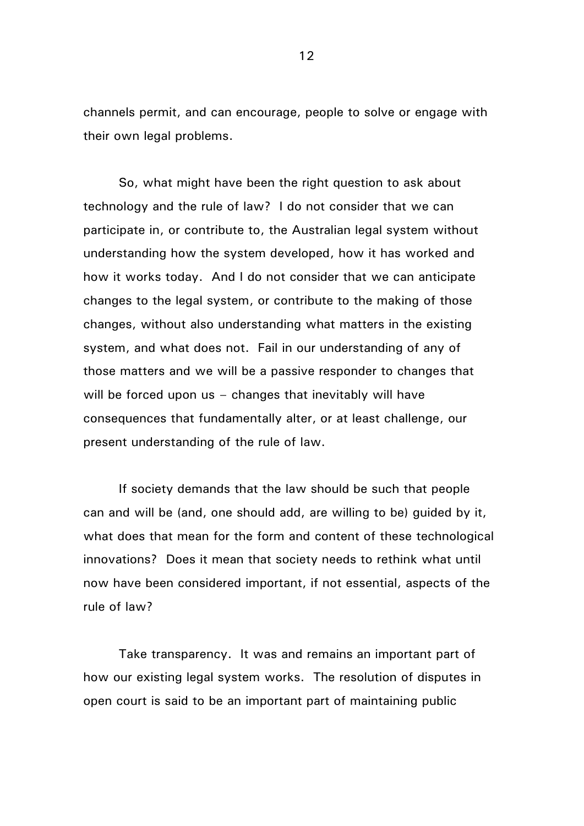channels permit, and can encourage, people to solve or engage with their own legal problems.

So, what might have been the right question to ask about technology and the rule of law? I do not consider that we can participate in, or contribute to, the Australian legal system without understanding how the system developed, how it has worked and how it works today. And I do not consider that we can anticipate changes to the legal system, or contribute to the making of those changes, without also understanding what matters in the existing system, and what does not. Fail in our understanding of any of those matters and we will be a passive responder to changes that will be forced upon us - changes that inevitably will have consequences that fundamentally alter, or at least challenge, our present understanding of the rule of law.

If society demands that the law should be such that people can and will be (and, one should add, are willing to be) guided by it, what does that mean for the form and content of these technological innovations? Does it mean that society needs to rethink what until now have been considered important, if not essential, aspects of the rule of law?

Take transparency. It was and remains an important part of how our existing legal system works. The resolution of disputes in open court is said to be an important part of maintaining public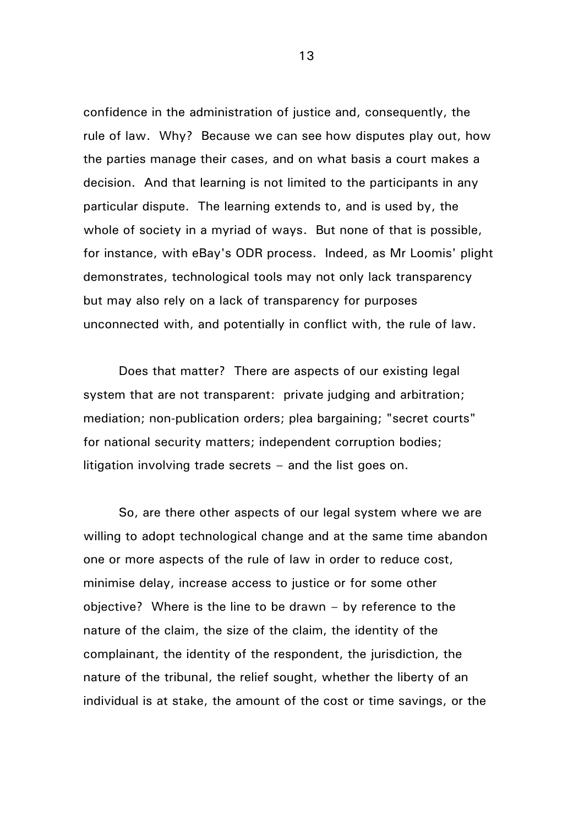confidence in the administration of justice and, consequently, the rule of law. Why? Because we can see how disputes play out, how the parties manage their cases, and on what basis a court makes a decision. And that learning is not limited to the participants in any particular dispute. The learning extends to, and is used by, the whole of society in a myriad of ways. But none of that is possible, for instance, with eBay's ODR process. Indeed, as Mr Loomis' plight demonstrates, technological tools may not only lack transparency but may also rely on a lack of transparency for purposes unconnected with, and potentially in conflict with, the rule of law.

Does that matter? There are aspects of our existing legal system that are not transparent: private judging and arbitration; mediation; non-publication orders; plea bargaining; "secret courts" for national security matters; independent corruption bodies; litigation involving trade secrets – and the list goes on.

So, are there other aspects of our legal system where we are willing to adopt technological change and at the same time abandon one or more aspects of the rule of law in order to reduce cost, minimise delay, increase access to justice or for some other objective? Where is the line to be drawn – by reference to the nature of the claim, the size of the claim, the identity of the complainant, the identity of the respondent, the jurisdiction, the nature of the tribunal, the relief sought, whether the liberty of an individual is at stake, the amount of the cost or time savings, or the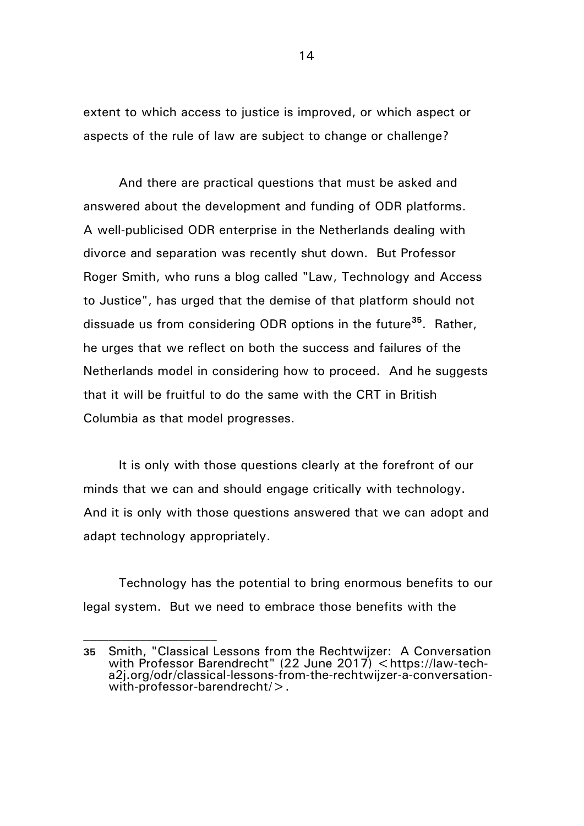extent to which access to justice is improved, or which aspect or aspects of the rule of law are subject to change or challenge?

And there are practical questions that must be asked and answered about the development and funding of ODR platforms. A well-publicised ODR enterprise in the Netherlands dealing with divorce and separation was recently shut down. But Professor Roger Smith, who runs a blog called "Law, Technology and Access to Justice", has urged that the demise of that platform should not dissuade us from considering ODR options in the future**<sup>35</sup>**. Rather, he urges that we reflect on both the success and failures of the Netherlands model in considering how to proceed. And he suggests that it will be fruitful to do the same with the CRT in British Columbia as that model progresses.

It is only with those questions clearly at the forefront of our minds that we can and should engage critically with technology. And it is only with those questions answered that we can adopt and adapt technology appropriately.

Technology has the potential to bring enormous benefits to our legal system. But we need to embrace those benefits with the

**<sup>35</sup>** Smith, "Classical Lessons from the Rechtwijzer: A Conversation with Professor Barendrecht" (22 June 2017) <https://law-techa2j.org/odr/classical-lessons-from-the-rechtwijzer-a-conversationwith-professor-barendrecht/>.